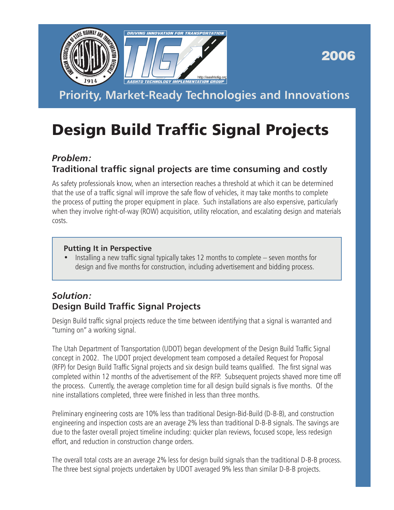

2006

**Priority, Market-Ready Technologies and Innovations**

# Design Build Traffic Signal Projects

## *Problem:*

## **Traditional traffic signal projects are time consuming and costly**

As safety professionals know, when an intersection reaches a threshold at which it can be determined that the use of a traffic signal will improve the safe flow of vehicles, it may take months to complete the process of putting the proper equipment in place. Such installations are also expensive, particularly when they involve right-of-way (ROW) acquisition, utility relocation, and escalating design and materials costs.

#### **Putting It in Perspective**

• Installing a new traffic signal typically takes 12 months to complete – seven months for design and five months for construction, including advertisement and bidding process.

## *Solution:* **Design Build Traffic Signal Projects**

Design Build traffic signal projects reduce the time between identifying that a signal is warranted and "turning on" a working signal.

The Utah Department of Transportation (UDOT) began development of the Design Build Traffic Signal concept in 2002. The UDOT project development team composed a detailed Request for Proposal (RFP) for Design Build Traffic Signal projects and six design build teams qualified. The first signal was completed within 12 months of the advertisement of the RFP. Subsequent projects shaved more time off the process. Currently, the average completion time for all design build signals is five months. Of the nine installations completed, three were finished in less than three months.

Preliminary engineering costs are 10% less than traditional Design-Bid-Build (D-B-B), and construction engineering and inspection costs are an average 2% less than traditional D-B-B signals. The savings are due to the faster overall project timeline including: quicker plan reviews, focused scope, less redesign effort, and reduction in construction change orders.

The overall total costs are an average 2% less for design build signals than the traditional D-B-B process. The three best signal projects undertaken by UDOT averaged 9% less than similar D-B-B projects.